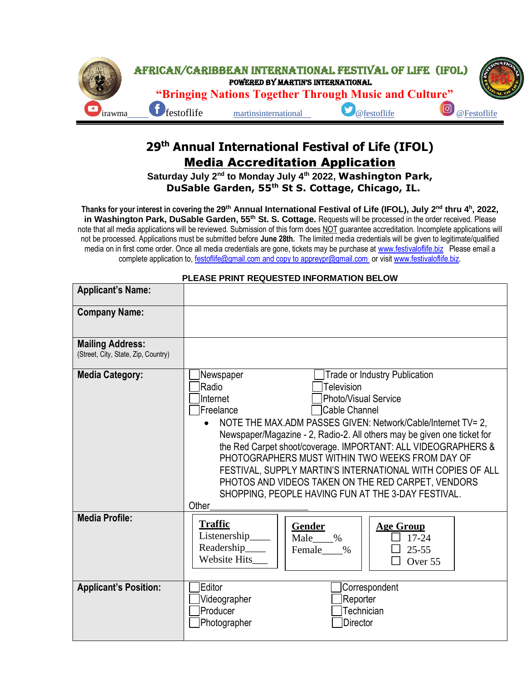

## **29 th Annual International Festival of Life (IFOL)** Media Accreditation Application

Saturday July 2<sup>nd</sup> to Monday July 4<sup>th</sup> 2022, Washington Park,  **DuSable Garden, 55th St S. Cottage, Chicago, IL.** 

Thanks for your interest in covering the 29<sup>th</sup> Annual International Festival of Life (IFOL), July 2<sup>nd</sup> thru 4<sup>h</sup>, 2022, **in Washington Park, DuSable Garden, 55th St. S. Cottage.** Requests will be processed in the order received. Please note that all media applications will be reviewed. Submission of this form does NOT guarantee accreditation. Incomplete applications will not be processed. Applications must be submitted before **June 28th.** The limited media credentials will be given to legitimate/qualified media on in first come order. Once all media credentials are gone, tickets may be purchase at [www.festivaloflife.biz](http://www.festivaloflife.biz/) Please email a complete application to, [festoflife@gmail.com](mailto:media@martinsinterculture.com) and copy to [appreypr@gmail.com](mailto:appreypr@gmail.com) or visit www.festivaloflife.biz.

| <b>Applicant's Name:</b>                                       |                                                                         |                 |                                      |  |
|----------------------------------------------------------------|-------------------------------------------------------------------------|-----------------|--------------------------------------|--|
|                                                                |                                                                         |                 |                                      |  |
| <b>Company Name:</b>                                           |                                                                         |                 |                                      |  |
|                                                                |                                                                         |                 |                                      |  |
| <b>Mailing Address:</b><br>(Street, City, State, Zip, Country) |                                                                         |                 |                                      |  |
| <b>Media Category:</b>                                         | Newspaper                                                               |                 | <b>Trade or Industry Publication</b> |  |
|                                                                | <b>Radio</b>                                                            | Television      |                                      |  |
|                                                                | <b>Photo/Visual Service</b><br>Internet<br>Cable Channel<br>Freelance   |                 |                                      |  |
|                                                                | NOTE THE MAX.ADM PASSES GIVEN: Network/Cable/Internet TV= 2,            |                 |                                      |  |
|                                                                | Newspaper/Magazine - 2, Radio-2. All others may be given one ticket for |                 |                                      |  |
|                                                                | the Red Carpet shoot/coverage. IMPORTANT: ALL VIDEOGRAPHERS &           |                 |                                      |  |
|                                                                | PHOTOGRAPHERS MUST WITHIN TWO WEEKS FROM DAY OF                         |                 |                                      |  |
|                                                                | FESTIVAL, SUPPLY MARTIN'S INTERNATIONAL WITH COPIES OF ALL              |                 |                                      |  |
|                                                                | PHOTOS AND VIDEOS TAKEN ON THE RED CARPET, VENDORS                      |                 |                                      |  |
|                                                                | SHOPPING, PEOPLE HAVING FUN AT THE 3-DAY FESTIVAL.                      |                 |                                      |  |
|                                                                | Other                                                                   |                 |                                      |  |
| <b>Media Profile:</b>                                          | <b>Traffic</b>                                                          | Gender          | <b>Age Group</b>                     |  |
|                                                                | Listenership_                                                           | Male_<br>$\%$   | $17 - 24$                            |  |
|                                                                | Readership___                                                           | Female<br>$\%$  | $25 - 55$                            |  |
|                                                                | <b>Website Hits</b>                                                     |                 | Over 55                              |  |
|                                                                |                                                                         |                 |                                      |  |
| <b>Applicant's Position:</b>                                   | Editor                                                                  |                 | Correspondent                        |  |
|                                                                | Videographer                                                            | Reporter        |                                      |  |
|                                                                | Producer                                                                |                 | Technician                           |  |
|                                                                | Photographer                                                            | <b>Director</b> |                                      |  |

## **PLEASE PRINT REQUESTED INFORMATION BELOW**